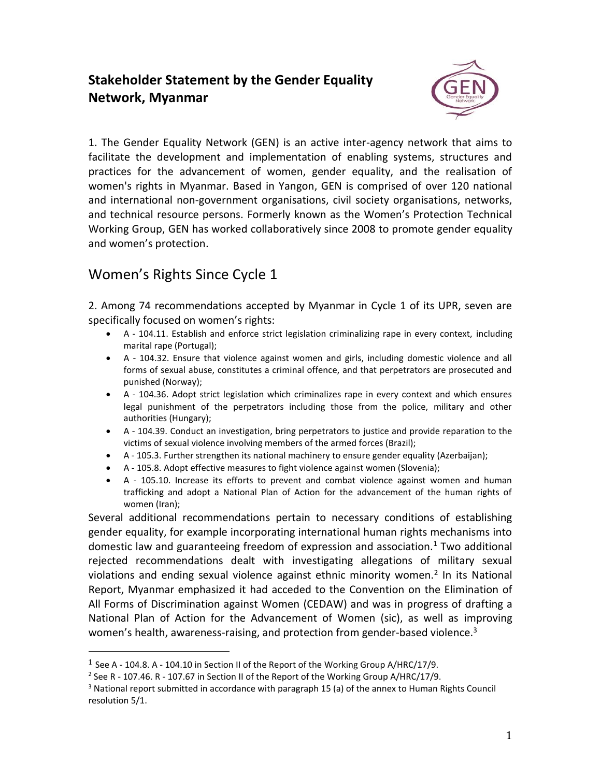## **Stakeholder Statement by the Gender Equality Network, Myanmar**



1. The Gender Equality Network (GEN) is an active inter-agency network that aims to facilitate the development and implementation of enabling systems, structures and practices for the advancement of women, gender equality, and the realisation of women's rights in Myanmar. Based in Yangon, GEN is comprised of over 120 national and international non-government organisations, civil society organisations, networks, and technical resource persons. Formerly known as the Women's Protection Technical Working Group, GEN has worked collaboratively since 2008 to promote gender equality and women's protection.

## Women's Rights Since Cycle 1

l

2. Among 74 recommendations accepted by Myanmar in Cycle 1 of its UPR, seven are specifically focused on women's rights:

- A 104.11. Establish and enforce strict legislation criminalizing rape in every context, including marital rape (Portugal);
- A 104.32. Ensure that violence against women and girls, including domestic violence and all forms of sexual abuse, constitutes a criminal offence, and that perpetrators are prosecuted and punished (Norway);
- A 104.36. Adopt strict legislation which criminalizes rape in every context and which ensures legal punishment of the perpetrators including those from the police, military and other authorities (Hungary);
- A 104.39. Conduct an investigation, bring perpetrators to justice and provide reparation to the victims of sexual violence involving members of the armed forces (Brazil);
- A 105.3. Further strengthen its national machinery to ensure gender equality (Azerbaijan);
- A 105.8. Adopt effective measures to fight violence against women (Slovenia);
- A 105.10. Increase its efforts to prevent and combat violence against women and human trafficking and adopt a National Plan of Action for the advancement of the human rights of women (Iran);

Several additional recommendations pertain to necessary conditions of establishing gender equality, for example incorporating international human rights mechanisms into domestic law and guaranteeing freedom of expression and association. $1$  Two additional rejected recommendations dealt with investigating allegations of military sexual violations and ending sexual violence against ethnic minority women.<sup>2</sup> In its National Report, Myanmar emphasized it had acceded to the Convention on the Elimination of All Forms of Discrimination against Women (CEDAW) and was in progress of drafting a National Plan of Action for the Advancement of Women (sic), as well as improving women's health, awareness-raising, and protection from gender-based violence. $3$ 

<sup>&</sup>lt;sup>1</sup> See A - 104.8. A - 104.10 in Section II of the Report of the Working Group A/HRC/17/9.

<sup>&</sup>lt;sup>2</sup> See R - 107.46. R - 107.67 in Section II of the Report of the Working Group A/HRC/17/9.

 $3$  National report submitted in accordance with paragraph 15 (a) of the annex to Human Rights Council resolution 5/1.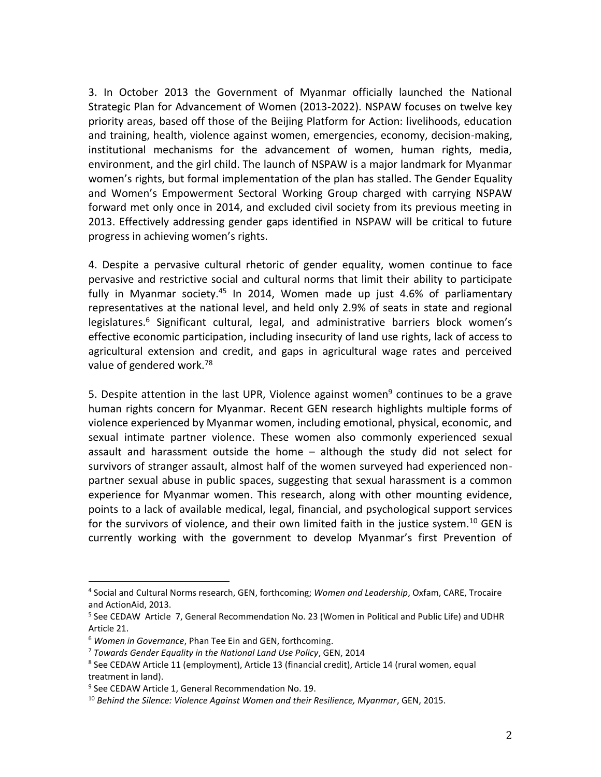3. In October 2013 the Government of Myanmar officially launched the National Strategic Plan for Advancement of Women (2013-2022). NSPAW focuses on twelve key priority areas, based off those of the Beijing Platform for Action: livelihoods, education and training, health, violence against women, emergencies, economy, decision-making, institutional mechanisms for the advancement of women, human rights, media, environment, and the girl child. The launch of NSPAW is a major landmark for Myanmar women's rights, but formal implementation of the plan has stalled. The Gender Equality and Women's Empowerment Sectoral Working Group charged with carrying NSPAW forward met only once in 2014, and excluded civil society from its previous meeting in 2013. Effectively addressing gender gaps identified in NSPAW will be critical to future progress in achieving women's rights.

4. Despite a pervasive cultural rhetoric of gender equality, women continue to face pervasive and restrictive social and cultural norms that limit their ability to participate fully in Myanmar society.<sup>45</sup> In 2014, Women made up just 4.6% of parliamentary representatives at the national level, and held only 2.9% of seats in state and regional legislatures.<sup>6</sup> Significant cultural, legal, and administrative barriers block women's effective economic participation, including insecurity of land use rights, lack of access to agricultural extension and credit, and gaps in agricultural wage rates and perceived value of gendered work.<sup>78</sup>

5. Despite attention in the last UPR, Violence against women<sup>9</sup> continues to be a grave human rights concern for Myanmar. Recent GEN research highlights multiple forms of violence experienced by Myanmar women, including emotional, physical, economic, and sexual intimate partner violence. These women also commonly experienced sexual assault and harassment outside the home – although the study did not select for survivors of stranger assault, almost half of the women surveyed had experienced nonpartner sexual abuse in public spaces, suggesting that sexual harassment is a common experience for Myanmar women. This research, along with other mounting evidence, points to a lack of available medical, legal, financial, and psychological support services for the survivors of violence, and their own limited faith in the justice system.<sup>10</sup> GEN is currently working with the government to develop Myanmar's first Prevention of

l

<sup>4</sup> Social and Cultural Norms research, GEN, forthcoming; *Women and Leadership*, Oxfam, CARE, Trocaire and ActionAid, 2013.

<sup>&</sup>lt;sup>5</sup> See CEDAW Article 7, General Recommendation No. 23 (Women in Political and Public Life) and UDHR Article 21.

<sup>6</sup> *Women in Governance*, Phan Tee Ein and GEN, forthcoming.

<sup>7</sup> *Towards Gender Equality in the National Land Use Policy*, GEN, 2014

<sup>&</sup>lt;sup>8</sup> See CEDAW Article 11 (employment), Article 13 (financial credit), Article 14 (rural women, equal treatment in land).

<sup>&</sup>lt;sup>9</sup> See CEDAW Article 1, General Recommendation No. 19.

<sup>10</sup> *Behind the Silence: Violence Against Women and their Resilience, Myanmar*, GEN, 2015.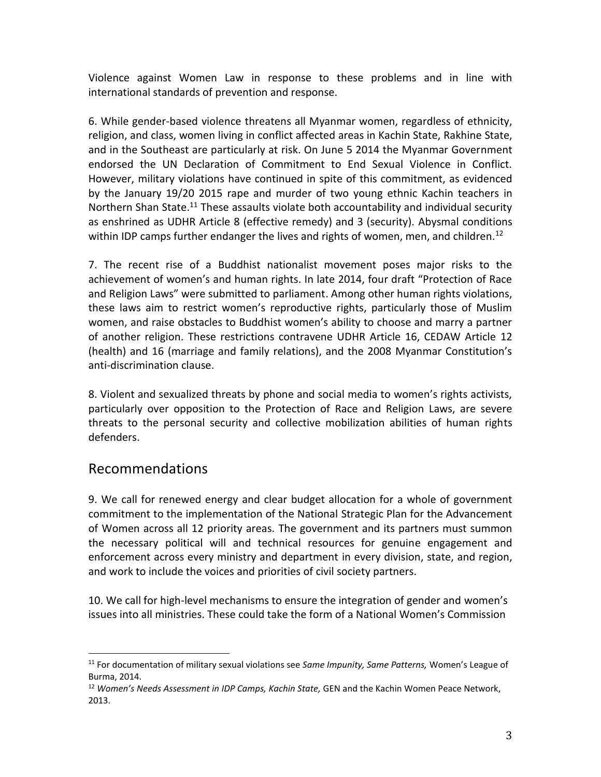Violence against Women Law in response to these problems and in line with international standards of prevention and response.

6. While gender-based violence threatens all Myanmar women, regardless of ethnicity, religion, and class, women living in conflict affected areas in Kachin State, Rakhine State, and in the Southeast are particularly at risk. On June 5 2014 the Myanmar Government endorsed the UN Declaration of Commitment to End Sexual Violence in Conflict. However, military violations have continued in spite of this commitment, as evidenced by the January 19/20 2015 rape and murder of two young ethnic Kachin teachers in Northern Shan State.<sup>11</sup> These assaults violate both accountability and individual security as enshrined as UDHR Article 8 (effective remedy) and 3 (security). Abysmal conditions within IDP camps further endanger the lives and rights of women, men, and children.<sup>12</sup>

7. The recent rise of a Buddhist nationalist movement poses major risks to the achievement of women's and human rights. In late 2014, four draft "Protection of Race and Religion Laws" were submitted to parliament. Among other human rights violations, these laws aim to restrict women's reproductive rights, particularly those of Muslim women, and raise obstacles to Buddhist women's ability to choose and marry a partner of another religion. These restrictions contravene UDHR Article 16, CEDAW Article 12 (health) and 16 (marriage and family relations), and the 2008 Myanmar Constitution's anti-discrimination clause.

8. Violent and sexualized threats by phone and social media to women's rights activists, particularly over opposition to the Protection of Race and Religion Laws, are severe threats to the personal security and collective mobilization abilities of human rights defenders.

## Recommendations

 $\overline{\phantom{a}}$ 

9. We call for renewed energy and clear budget allocation for a whole of government commitment to the implementation of the National Strategic Plan for the Advancement of Women across all 12 priority areas. The government and its partners must summon the necessary political will and technical resources for genuine engagement and enforcement across every ministry and department in every division, state, and region, and work to include the voices and priorities of civil society partners.

10. We call for high-level mechanisms to ensure the integration of gender and women's issues into all ministries. These could take the form of a National Women's Commission

<sup>11</sup> For documentation of military sexual violations see *Same Impunity, Same Patterns,* Women's League of Burma, 2014.

<sup>12</sup> *Women's Needs Assessment in IDP Camps, Kachin State,* GEN and the Kachin Women Peace Network, 2013.